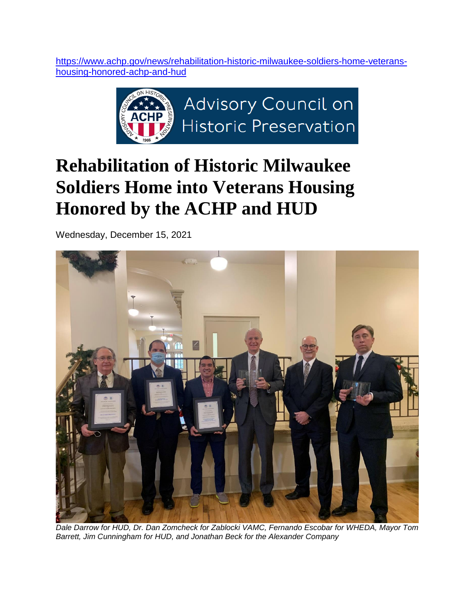[https://www.achp.gov/news/rehabilitation-historic-milwaukee-soldiers-home-veterans](https://www.achp.gov/news/rehabilitation-historic-milwaukee-soldiers-home-veterans-housing-honored-achp-and-hud)[housing-honored-achp-and-hud](https://www.achp.gov/news/rehabilitation-historic-milwaukee-soldiers-home-veterans-housing-honored-achp-and-hud)



## **Rehabilitation of Historic Milwaukee Soldiers Home into Veterans Housing Honored by the ACHP and HUD**

Wednesday, December 15, 2021



*Dale Darrow for HUD, Dr. Dan Zomcheck for Zablocki VAMC, Fernando Escobar for WHEDA, Mayor Tom Barrett, Jim Cunningham for HUD, and Jonathan Beck for the Alexander Company*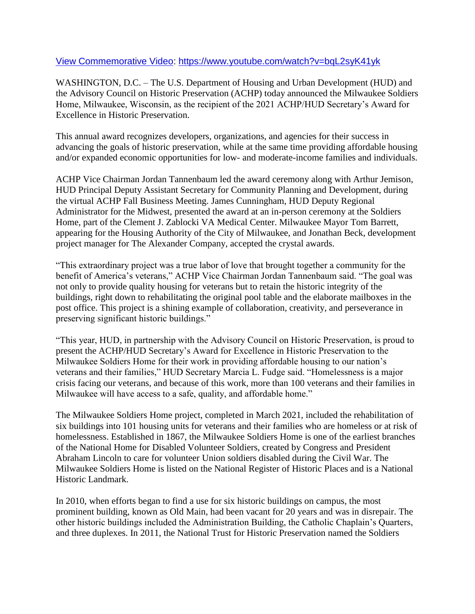## [View Commemorative Video:](https://youtu.be/bqL2syK41yk)<https://www.youtube.com/watch?v=bqL2syK41yk>

WASHINGTON, D.C. – The U.S. Department of Housing and Urban Development (HUD) and the Advisory Council on Historic Preservation (ACHP) today announced the Milwaukee Soldiers Home, Milwaukee, Wisconsin, as the recipient of the 2021 ACHP/HUD Secretary's Award for Excellence in Historic Preservation.

This annual award recognizes developers, organizations, and agencies for their success in advancing the goals of historic preservation, while at the same time providing affordable housing and/or expanded economic opportunities for low- and moderate-income families and individuals.

ACHP Vice Chairman Jordan Tannenbaum led the award ceremony along with Arthur Jemison, HUD Principal Deputy Assistant Secretary for Community Planning and Development, during the virtual ACHP Fall Business Meeting. James Cunningham, HUD Deputy Regional Administrator for the Midwest, presented the award at an in-person ceremony at the Soldiers Home, part of the Clement J. Zablocki VA Medical Center. Milwaukee Mayor Tom Barrett, appearing for the Housing Authority of the City of Milwaukee, and Jonathan Beck, development project manager for The Alexander Company, accepted the crystal awards.

"This extraordinary project was a true labor of love that brought together a community for the benefit of America's veterans," ACHP Vice Chairman Jordan Tannenbaum said. "The goal was not only to provide quality housing for veterans but to retain the historic integrity of the buildings, right down to rehabilitating the original pool table and the elaborate mailboxes in the post office. This project is a shining example of collaboration, creativity, and perseverance in preserving significant historic buildings."

"This year, HUD, in partnership with the Advisory Council on Historic Preservation, is proud to present the ACHP/HUD Secretary's Award for Excellence in Historic Preservation to the Milwaukee Soldiers Home for their work in providing affordable housing to our nation's veterans and their families," HUD Secretary Marcia L. Fudge said. "Homelessness is a major crisis facing our veterans, and because of this work, more than 100 veterans and their families in Milwaukee will have access to a safe, quality, and affordable home."

The Milwaukee Soldiers Home project, completed in March 2021, included the rehabilitation of six buildings into 101 housing units for veterans and their families who are homeless or at risk of homelessness. Established in 1867, the Milwaukee Soldiers Home is one of the earliest branches of the National Home for Disabled Volunteer Soldiers, created by Congress and President Abraham Lincoln to care for volunteer Union soldiers disabled during the Civil War. The Milwaukee Soldiers Home is listed on the National Register of Historic Places and is a National Historic Landmark.

In 2010, when efforts began to find a use for six historic buildings on campus, the most prominent building, known as Old Main, had been vacant for 20 years and was in disrepair. The other historic buildings included the Administration Building, the Catholic Chaplain's Quarters, and three duplexes. In 2011, the National Trust for Historic Preservation named the Soldiers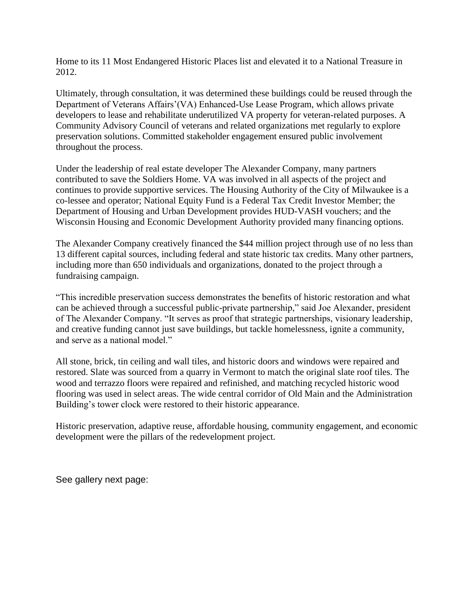Home to its 11 Most Endangered Historic Places list and elevated it to a National Treasure in 2012.

Ultimately, through consultation, it was determined these buildings could be reused through the Department of Veterans Affairs'(VA) Enhanced-Use Lease Program, which allows private developers to lease and rehabilitate underutilized VA property for veteran-related purposes. A Community Advisory Council of veterans and related organizations met regularly to explore preservation solutions. Committed stakeholder engagement ensured public involvement throughout the process.

Under the leadership of real estate developer The Alexander Company, many partners contributed to save the Soldiers Home. VA was involved in all aspects of the project and continues to provide supportive services. The Housing Authority of the City of Milwaukee is a co-lessee and operator; National Equity Fund is a Federal Tax Credit Investor Member; the Department of Housing and Urban Development provides HUD-VASH vouchers; and the Wisconsin Housing and Economic Development Authority provided many financing options.

The Alexander Company creatively financed the \$44 million project through use of no less than 13 different capital sources, including federal and state historic tax credits. Many other partners, including more than 650 individuals and organizations, donated to the project through a fundraising campaign.

"This incredible preservation success demonstrates the benefits of historic restoration and what can be achieved through a successful public-private partnership," said Joe Alexander, president of The Alexander Company. "It serves as proof that strategic partnerships, visionary leadership, and creative funding cannot just save buildings, but tackle homelessness, ignite a community, and serve as a national model."

All stone, brick, tin ceiling and wall tiles, and historic doors and windows were repaired and restored. Slate was sourced from a quarry in Vermont to match the original slate roof tiles. The wood and terrazzo floors were repaired and refinished, and matching recycled historic wood flooring was used in select areas. The wide central corridor of Old Main and the Administration Building's tower clock were restored to their historic appearance.

Historic preservation, adaptive reuse, affordable housing, community engagement, and economic development were the pillars of the redevelopment project.

See gallery next page: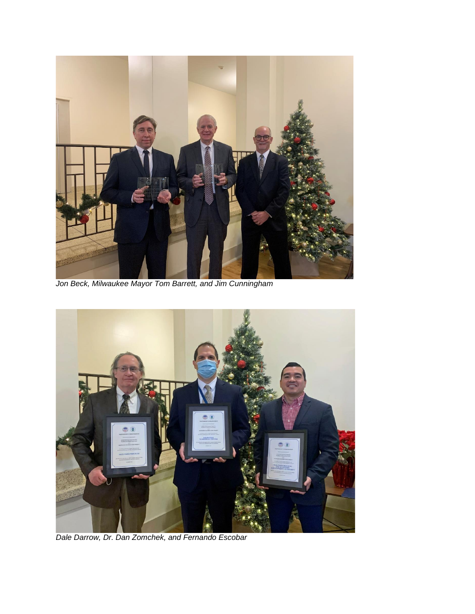

*Jon Beck, Milwaukee Mayor Tom Barrett, and Jim Cunningham*



*Dale Darrow, Dr. Dan Zomchek, and Fernando Escobar*